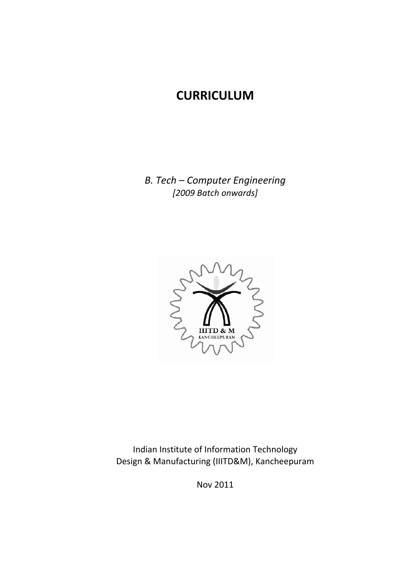# **CURRICULUM**

*B. Tech – Computer Engineering [2009 Batch onwards]*



Indian Institute of Information Technology Design & Manufacturing (IIITD&M), Kancheepuram

Nov 2011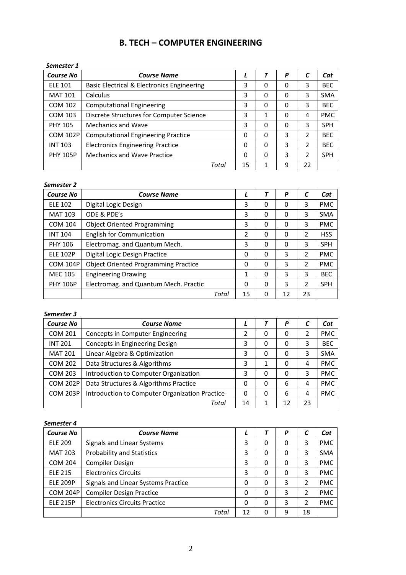# **B. TECH – COMPUTER ENGINEERING**

| Semester 1       |                                            |    |          |   |    |            |
|------------------|--------------------------------------------|----|----------|---|----|------------|
| <b>Course No</b> | <b>Course Name</b>                         | L  |          | P |    | Cat        |
| <b>ELE 101</b>   | Basic Electrical & Electronics Engineering | 3  | 0        | 0 | 3  | <b>BEC</b> |
| <b>MAT 101</b>   | Calculus                                   | 3  | 0        | 0 | 3  | <b>SMA</b> |
| COM 102          | <b>Computational Engineering</b>           | 3  | 0        | 0 | 3  | <b>BEC</b> |
| COM 103          | Discrete Structures for Computer Science   | 3  | 1        | 0 | 4  | <b>PMC</b> |
| <b>PHY 105</b>   | <b>Mechanics and Wave</b>                  | 3  | 0        | 0 | 3  | <b>SPH</b> |
| <b>COM 102P</b>  | <b>Computational Engineering Practice</b>  | 0  | 0        | 3 | 2  | <b>BEC</b> |
| <b>INT 103</b>   | <b>Electronics Engineering Practice</b>    | 0  | $\Omega$ | 3 | 2  | <b>BEC</b> |
| <b>PHY 105P</b>  | <b>Mechanics and Wave Practice</b>         | 0  | 0        | 3 | 2  | <b>SPH</b> |
|                  | Total                                      | 15 |          | 9 | 22 |            |

#### *Semester 2*

| <b>Course No</b> | <b>Course Name</b>                          |       |          | P        |    | Cat        |            |
|------------------|---------------------------------------------|-------|----------|----------|----|------------|------------|
| <b>ELE 102</b>   | Digital Logic Design                        | 3     | 0        | 0        | 3  | <b>PMC</b> |            |
| <b>MAT 103</b>   | ODE & PDE's                                 | 3     | 0        | 0        | 3  | <b>SMA</b> |            |
| <b>COM 104</b>   | <b>Object Oriented Programming</b>          | 3     | $\Omega$ | 0        | 3  | <b>PMC</b> |            |
| <b>INT 104</b>   | <b>English for Communication</b>            | 2     | $\Omega$ | $\Omega$ | 2  | <b>HSS</b> |            |
| <b>PHY 106</b>   | Electromag. and Quantum Mech.               | 3     | $\Omega$ | 0        | 3  | <b>SPH</b> |            |
| <b>ELE 102P</b>  | Digital Logic Design Practice               | 0     | $\Omega$ | 3        | 2  | <b>PMC</b> |            |
| <b>COM 104P</b>  | <b>Object Oriented Programming Practice</b> | 0     | $\Omega$ | 3        | 2  | <b>PMC</b> |            |
| <b>MEC 105</b>   | <b>Engineering Drawing</b>                  | 1     | 0        | 3        | 3  | <b>BEC</b> |            |
| <b>PHY 106P</b>  | Electromag. and Quantum Mech. Practic       |       | 0        | 0        | 3  | 2          | <b>SPH</b> |
|                  |                                             | Total | 15       | 0        | 12 | 23         |            |

#### *Semester 3*

| <b>Course No</b> | <b>Course Name</b>                             |    |   | P  |    | Cat        |
|------------------|------------------------------------------------|----|---|----|----|------------|
| <b>COM 201</b>   | Concepts in Computer Engineering               | 2  | 0 | 0  |    | <b>PMC</b> |
| <b>INT 201</b>   | Concepts in Engineering Design                 | 3  | 0 | 0  | 3  | <b>BEC</b> |
| <b>MAT 201</b>   | Linear Algebra & Optimization                  | 3  | 0 | 0  | 3  | <b>SMA</b> |
| COM 202          | Data Structures & Algorithms                   | 3  | 1 | 0  | 4  | <b>PMC</b> |
| <b>COM 203</b>   | Introduction to Computer Organization          | 3  | 0 | 0  | 3  | <b>PMC</b> |
| <b>COM 202P</b>  | Data Structures & Algorithms Practice          | 0  | 0 | 6  | 4  | <b>PMC</b> |
| <b>COM 203P</b>  | Introduction to Computer Organization Practice | 0  | 0 | 6  | 4  | <b>PMC</b> |
|                  | Total                                          | 14 |   | 12 | 23 |            |

#### *Semester 4*

| <b>Course No</b> | <b>Course Name</b>                   |    |   | P        |    | Cat        |
|------------------|--------------------------------------|----|---|----------|----|------------|
| <b>ELE 209</b>   | Signals and Linear Systems           | 3  | 0 | 0        | 3  | <b>PMC</b> |
| <b>MAT 203</b>   | <b>Probability and Statistics</b>    | 3  | 0 | 0        | 3  | <b>SMA</b> |
| <b>COM 204</b>   | <b>Compiler Design</b>               | 3  | 0 | 0        | 3  | <b>PMC</b> |
| <b>ELE 215</b>   | <b>Electronics Circuits</b>          | 3  | 0 | $\Omega$ | 3  | <b>PMC</b> |
| <b>ELE 209P</b>  | Signals and Linear Systems Practice  | 0  | 0 | 3        |    | <b>PMC</b> |
| <b>COM 204P</b>  | <b>Compiler Design Practice</b>      | 0  | 0 | 3        |    | <b>PMC</b> |
| <b>ELE 215P</b>  | <b>Electronics Circuits Practice</b> | 0  | 0 | 3        |    | <b>PMC</b> |
|                  | Total                                | 12 | 0 | 9        | 18 |            |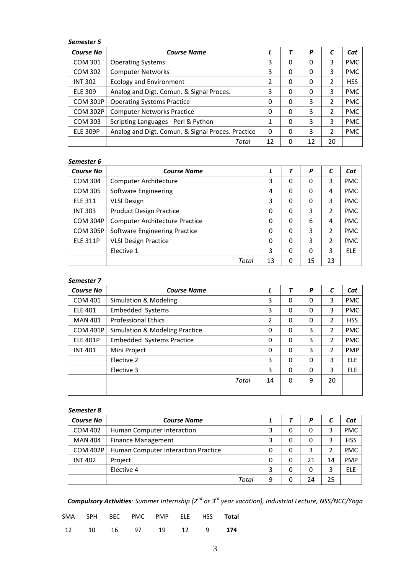#### *Semester 5*

| <b>Course No</b> | <b>Course Name</b>                                |    | T        | P  |    | Cat        |
|------------------|---------------------------------------------------|----|----------|----|----|------------|
| <b>COM 301</b>   | <b>Operating Systems</b>                          | 3  | 0        | 0  | 3  | <b>PMC</b> |
| <b>COM 302</b>   | <b>Computer Networks</b>                          | 3  | 0        | 0  | 3  | <b>PMC</b> |
| <b>INT 302</b>   | <b>Ecology and Environment</b>                    | 2  | 0        | 0  | 2  | <b>HSS</b> |
| <b>ELE 309</b>   | Analog and Digt. Comun. & Signal Proces.          | 3  | 0        | 0  | 3  | <b>PMC</b> |
| <b>COM 301P</b>  | <b>Operating Systems Practice</b>                 | 0  | 0        | 3  | 2  | <b>PMC</b> |
| <b>COM 302P</b>  | <b>Computer Networks Practice</b>                 | 0  | 0        | 3  | 2  | <b>PMC</b> |
| COM 303          | Scripting Languages - Perl & Python               | 1  | 0        | 3  | 3  | <b>PMC</b> |
| <b>ELE 309P</b>  | Analog and Digt. Comun. & Signal Proces. Practice | 0  | $\Omega$ | 3  | 2  | <b>PMC</b> |
|                  | Total                                             | 12 | 0        | 12 | 20 |            |

#### *Semester 6*

| <b>Course No</b> | <b>Course Name</b>                    |              |   | P  | C  | Cat        |
|------------------|---------------------------------------|--------------|---|----|----|------------|
| <b>COM 304</b>   | <b>Computer Architecture</b>          | 3            | 0 | 0  | 3  | <b>PMC</b> |
| COM 305          | Software Engineering                  | 4            | 0 | 0  | 4  | <b>PMC</b> |
| <b>ELE 311</b>   | <b>VLSI Design</b>                    | 3            | 0 | 0  | 3  | <b>PMC</b> |
| <b>INT 303</b>   | <b>Product Design Practice</b>        | 0            | 0 | 3  | 2  | <b>PMC</b> |
| <b>COM 304P</b>  | <b>Computer Architecture Practice</b> | 0            | 0 | 6  | 4  | <b>PMC</b> |
| <b>COM 305P</b>  | Software Engineering Practice         | 0            | 0 | 3  | 2  | <b>PMC</b> |
| <b>ELE 311P</b>  | <b>VLSI Design Practice</b>           | $\mathbf{0}$ | 0 | 3  | 2  | <b>PMC</b> |
|                  | Elective 1                            | 3            | 0 | 0  | 3  | <b>ELE</b> |
|                  | Total                                 | 13           | 0 | 15 | 23 |            |

#### *Semester 7*

| <b>Course No</b> | <b>Course Name</b>               |          | T | P | C  | Cat        |
|------------------|----------------------------------|----------|---|---|----|------------|
| <b>COM 401</b>   | Simulation & Modeling            | 3        | 0 | 0 | 3  | <b>PMC</b> |
| <b>ELE 401</b>   | <b>Embedded Systems</b>          | 3        | 0 | 0 | 3  | <b>PMC</b> |
| <b>MAN 401</b>   | <b>Professional Ethics</b>       | 2        | 0 | 0 | 2  | <b>HSS</b> |
| <b>COM 401P</b>  | Simulation & Modeling Practice   | 0        | 0 | 3 | 2  | <b>PMC</b> |
| <b>ELE 401P</b>  | <b>Embedded Systems Practice</b> | $\Omega$ | 0 | 3 | 2  | <b>PMC</b> |
| <b>INT 401</b>   | Mini Project                     | $\Omega$ | 0 | 3 | 2  | <b>PMP</b> |
|                  | Elective 2                       | 3        | 0 | 0 | 3  | <b>ELE</b> |
|                  | Elective 3                       | 3        | 0 | 0 | 3  | <b>ELE</b> |
|                  | Total                            | 14       | 0 | 9 | 20 |            |
|                  |                                  |          |   |   |    |            |

#### *Semester 8*

| <b>Course No</b> | <b>Course Name</b>                  |   |   | P  |    | Cat        |
|------------------|-------------------------------------|---|---|----|----|------------|
| <b>COM 402</b>   | Human Computer Interaction          | 3 | 0 | 0  |    | <b>PMC</b> |
| <b>MAN 404</b>   | <b>Finance Management</b>           | 3 | 0 | 0  |    | <b>HSS</b> |
| <b>COM 402P</b>  | Human Computer Interaction Practice | 0 | 0 | 3  |    | <b>PMC</b> |
| <b>INT 402</b>   | Project                             | 0 | 0 | 21 | 14 | <b>PMP</b> |
|                  | Elective 4                          | 3 | 0 | 0  |    | <b>FLF</b> |
|                  | Total                               | 9 | 0 | 24 | 25 |            |

*Compulsory Activities: Summer Internship (2nd or 3rd year vacation), Industrial Lecture, NSS/NCC/Yoga*

|  |  | SMA SPH BEC PMC PMP ELE HSS <b>Total</b> |  |  |
|--|--|------------------------------------------|--|--|
|  |  | 12 10 16 97 19 12 9 174                  |  |  |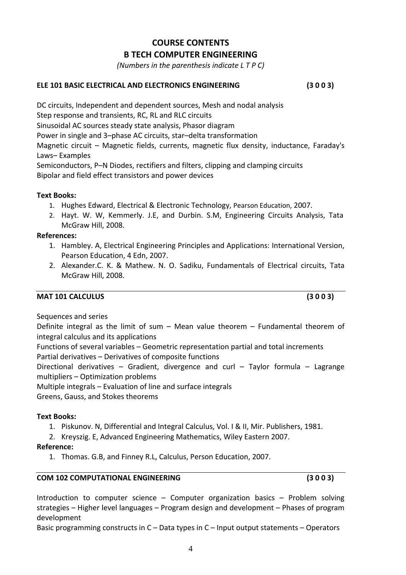# **COURSE CONTENTS B TECH COMPUTER ENGINEERING**

*(Numbers in the parenthesis indicate L T P C)*

#### **ELE 101 BASIC ELECTRICAL AND ELECTRONICS ENGINEERING (3 0 0 3)**

DC circuits, Independent and dependent sources, Mesh and nodal analysis Step response and transients, RC, RL and RLC circuits Sinusoidal AC sources steady state analysis, Phasor diagram Power in single and 3–phase AC circuits, star–delta transformation Magnetic circuit – Magnetic fields, currents, magnetic flux density, inductance, Faraday's Laws– Examples Semiconductors, P–N Diodes, rectifiers and filters, clipping and clamping circuits Bipolar and field effect transistors and power devices

#### **Text Books:**

- 1. Hughes Edward, Electrical & Electronic Technology, Pearson Education, 2007.
- 2. Hayt. W. W, Kemmerly. J.E, and Durbin. S.M, Engineering Circuits Analysis, Tata McGraw Hill, 2008.

#### **References:**

- 1. Hambley. A, Electrical Engineering Principles and Applications: International Version, Pearson Education, 4 Edn, 2007.
- 2. Alexander.C. K. & Mathew. N. O. Sadiku, Fundamentals of Electrical circuits, Tata McGraw Hill, 2008.

#### **MAT 101 CALCULUS (3 0 0 3)**

Sequences and series

Definite integral as the limit of sum – Mean value theorem – Fundamental theorem of integral calculus and its applications

Functions of several variables – Geometric representation partial and total increments Partial derivatives – Derivatives of composite functions

Directional derivatives – Gradient, divergence and curl – Taylor formula – Lagrange multipliers – Optimization problems

Multiple integrals – Evaluation of line and surface integrals

Greens, Gauss, and Stokes theorems

#### **Text Books:**

1. Piskunov. N, Differential and Integral Calculus, Vol. I & II, Mir. Publishers, 1981.

2. Kreyszig. E, Advanced Engineering Mathematics, Wiley Eastern 2007.

#### **Reference:**

1. Thomas. G.B, and Finney R.L, Calculus, Person Education, 2007.

#### **COM 102 COMPUTATIONAL ENGINEERING (3 0 0 3)**

Introduction to computer science – Computer organization basics – Problem solving strategies – Higher level languages – Program design and development – Phases of program development

Basic programming constructs in C – Data types in C – Input output statements – Operators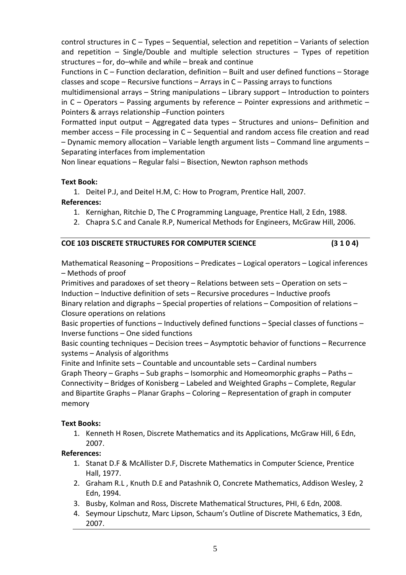control structures in C – Types – Sequential, selection and repetition – Variants of selection and repetition – Single/Double and multiple selection structures – Types of repetition structures – for, do–while and while – break and continue

Functions in C – Function declaration, definition – Built and user defined functions – Storage classes and scope – Recursive functions – Arrays in C – Passing arrays to functions

multidimensional arrays – String manipulations – Library support – Introduction to pointers in  $C -$  Operators – Passing arguments by reference – Pointer expressions and arithmetic – Pointers & arrays relationship –Function pointers

Formatted input output – Aggregated data types – Structures and unions– Definition and member access – File processing in C – Sequential and random access file creation and read – Dynamic memory allocation – Variable length argument lists – Command line arguments – Separating interfaces from implementation

Non linear equations – Regular falsi – Bisection, Newton raphson methods

#### **Text Book:**

1. Deitel P.J, and Deitel H.M, C: How to Program, Prentice Hall, 2007.

#### **References:**

- 1. Kernighan, Ritchie D, The C Programming Language, Prentice Hall, 2 Edn, 1988.
- 2. Chapra S.C and Canale R.P, Numerical Methods for Engineers, McGraw Hill, 2006.

#### **COE 103 DISCRETE STRUCTURES FOR COMPUTER SCIENCE (3 1 0 4)**

Mathematical Reasoning – Propositions – Predicates – Logical operators – Logical inferences – Methods of proof

Primitives and paradoxes of set theory – Relations between sets – Operation on sets – Induction – Inductive definition of sets – Recursive procedures – Inductive proofs

Binary relation and digraphs – Special properties of relations – Composition of relations – Closure operations on relations

Basic properties of functions – Inductively defined functions – Special classes of functions – Inverse functions – One sided functions

Basic counting techniques – Decision trees – Asymptotic behavior of functions – Recurrence systems – Analysis of algorithms

Finite and Infinite sets – Countable and uncountable sets – Cardinal numbers Graph Theory – Graphs – Sub graphs – Isomorphic and Homeomorphic graphs – Paths – Connectivity – Bridges of Konisberg – Labeled and Weighted Graphs – Complete, Regular and Bipartite Graphs – Planar Graphs – Coloring – Representation of graph in computer memory

# **Text Books:**

1. Kenneth H Rosen, Discrete Mathematics and its Applications, McGraw Hill, 6 Edn, 2007.

- 1. Stanat D.F & McAllister D.F, Discrete Mathematics in Computer Science, Prentice Hall, 1977.
- 2. Graham R.L , Knuth D.E and Patashnik O, Concrete Mathematics, Addison Wesley, 2 Edn, 1994.
- 3. Busby, Kolman and Ross, Discrete Mathematical Structures, PHI, 6 Edn, 2008.
- 4. Seymour Lipschutz, Marc Lipson, Schaum's Outline of Discrete Mathematics, 3 Edn, 2007.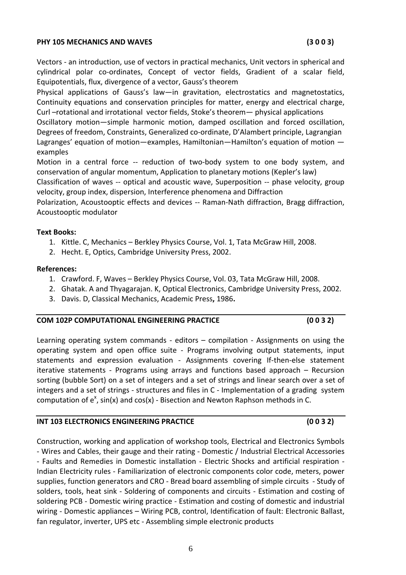#### **PHY 105 MECHANICS AND WAVES (3 0 0 3)**

Vectors ‐ an introduction, use of vectors in practical mechanics, Unit vectors in spherical and cylindrical polar co-ordinates, Concept of vector fields, Gradient of a scalar field, Equipotentials, flux, divergence of a vector, Gauss's theorem

Physical applications of Gauss's law—in gravitation, electrostatics and magnetostatics, Continuity equations and conservation principles for matter, energy and electrical charge, Curl –rotational and irrotational vector fields, Stoke's theorem— physical applications

Oscillatory motion—simple harmonic motion, damped oscillation and forced oscillation, Degrees of freedom, Constraints, Generalized co-ordinate, D'Alambert principle, Lagrangian Lagranges' equation of motion—examples, Hamiltonian—Hamilton's equation of motion examples

Motion in a central force -- reduction of two-body system to one body system, and conservation of angular momentum, Application to planetary motions (Kepler's law)

Classification of waves -- optical and acoustic wave, Superposition -- phase velocity, group velocity, group index, dispersion, Interference phenomena and Diffraction

Polarization, Acoustooptic effects and devices ‐‐ Raman‐Nath diffraction, Bragg diffraction, Acoustooptic modulator

#### **Text Books:**

- 1. Kittle. C, Mechanics Berkley Physics Course, Vol. 1, Tata McGraw Hill, 2008.
- 2. Hecht. E, Optics, Cambridge University Press, 2002.

#### **References:**

- 1. Crawford. F, Waves Berkley Physics Course, Vol. 03, Tata McGraw Hill, 2008.
- 2. Ghatak. A and Thyagarajan. K, Optical Electronics, Cambridge University Press, 2002.
- 3. Davis. D, Classical Mechanics, Academic Press**,** 1986**.**

#### **COM 102P COMPUTATIONAL ENGINEERING PRACTICE (0 0 3 2)**

Learning operating system commands - editors – compilation - Assignments on using the operating system and open office suite ‐ Programs involving output statements, input statements and expression evaluation - Assignments covering If-then-else statement iterative statements - Programs using arrays and functions based approach - Recursion sorting (bubble Sort) on a set of integers and a set of strings and linear search over a set of integers and a set of strings ‐ structures and files in C ‐ Implementation of a grading system computation of  $e^x$ , sin(x) and cos(x) - Bisection and Newton Raphson methods in C.

Construction, working and application of workshop tools, Electrical and Electronics Symbols ‐ Wires and Cables, their gauge and their rating ‐ Domestic / Industrial Electrical Accessories ‐ Faults and Remedies in Domestic installation ‐ Electric Shocks and artificial respiration ‐ Indian Electricity rules ‐ Familiarization of electronic components color code, meters, power supplies, function generators and CRO ‐ Bread board assembling of simple circuits ‐ Study of solders, tools, heat sink - Soldering of components and circuits - Estimation and costing of soldering PCB ‐ Domestic wiring practice ‐ Estimation and costing of domestic and industrial

# **INT 103 ELECTRONICS ENGINEERING PRACTICE (0 0 3 2)**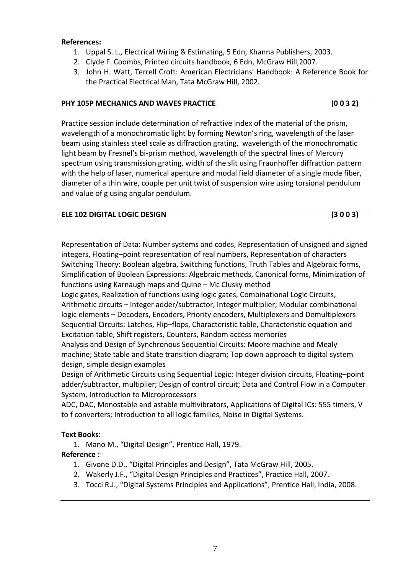#### **References:**

- 1. Uppal S. L., Electrical Wiring & Estimating, 5 Edn, Khanna Publishers, 2003.
- 2. Clyde F. Coombs, Printed circuits handbook, 6 Edn, McGraw Hill,2007.
- 3. John H. Watt, Terrell Croft: American Electricians' Handbook: A Reference Book for the Practical Electrical Man, Tata McGraw Hill, 2002.

#### **PHY 105P MECHANICS AND WAVES PRACTICE (0 0 3 2)**

Practice session include determination of refractive index of the material of the prism, wavelength of a monochromatic light by forming Newton's ring, wavelength of the laser beam using stainless steel scale as diffraction grating, wavelength of the monochromatic light beam by Fresnel's bi‐prism method, wavelength of the spectral lines of Mercury spectrum using transmission grating, width of the slit using Fraunhoffer diffraction pattern with the help of laser, numerical aperture and modal field diameter of a single mode fiber, diameter of a thin wire, couple per unit twist of suspension wire using torsional pendulum and value of g using angular pendulum.

# **ELE 102 DIGITAL LOGIC DESIGN (3 0 0 3)**

Representation of Data: Number systems and codes, Representation of unsigned and signed integers, Floating–point representation of real numbers, Representation of characters Switching Theory: Boolean algebra, Switching functions, Truth Tables and Algebraic forms, Simplification of Boolean Expressions: Algebraic methods, Canonical forms, Minimization of functions using Karnaugh maps and Quine – Mc Clusky method

Logic gates, Realization of functions using logic gates, Combinational Logic Circuits, Arithmetic circuits – Integer adder/subtractor, Integer multiplier; Modular combinational logic elements – Decoders, Encoders, Priority encoders, Multiplexers and Demultiplexers Sequential Circuits: Latches, Flip–flops, Characteristic table, Characteristic equation and Excitation table, Shift registers, Counters, Random access memories

Analysis and Design of Synchronous Sequential Circuits: Moore machine and Mealy machine; State table and State transition diagram; Top down approach to digital system design, simple design examples

Design of Arithmetic Circuits using Sequential Logic: Integer division circuits, Floating–point adder/subtractor, multiplier; Design of control circuit; Data and Control Flow in a Computer System, Introduction to Microprocessors

ADC, DAC, Monostable and astable multivibrators, Applications of Digital ICs: 555 timers, V to f converters; Introduction to all logic families, Noise in Digital Systems.

#### **Text Books:**

1. Mano M., "Digital Design", Prentice Hall, 1979.

- 1. Givone D.D., "Digital Principles and Design", Tata McGraw Hill, 2005.
- 2. Wakerly J.F., "Digital Design Principles and Practices", Practice Hall, 2007.
- 3. Tocci R.J., "Digital Systems Principles and Applications", Prentice Hall, India, 2008.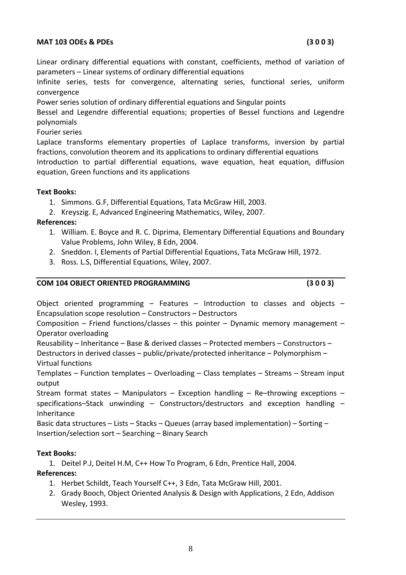#### **MAT 103 ODEs & PDEs (3 0 0 3)**

Linear ordinary differential equations with constant, coefficients, method of variation of parameters – Linear systems of ordinary differential equations

Infinite series, tests for convergence, alternating series, functional series, uniform convergence

Power series solution of ordinary differential equations and Singular points

Bessel and Legendre differential equations; properties of Bessel functions and Legendre polynomials

Fourier series

Laplace transforms elementary properties of Laplace transforms, inversion by partial fractions, convolution theorem and its applications to ordinary differential equations Introduction to partial differential equations, wave equation, heat equation, diffusion

equation, Green functions and its applications

#### **Text Books:**

- 1. Simmons. G.F, Differential Equations, Tata McGraw Hill, 2003.
- 2. Kreyszig. E, Advanced Engineering Mathematics, Wiley, 2007.

**References:**

- 1. William. E. Boyce and R. C. Diprima, Elementary Differential Equations and Boundary Value Problems, John Wiley, 8 Edn, 2004.
- 2. Sneddon. I, Elements of Partial Differential Equations, Tata McGraw Hill, 1972.
- 3. Ross. L.S, Differential Equations, Wiley, 2007.

#### **COM 104 OBJECT ORIENTED PROGRAMMING (3 0 0 3)**

Object oriented programming – Features – Introduction to classes and objects – Encapsulation scope resolution – Constructors – Destructors

Composition – Friend functions/classes – this pointer – Dynamic memory management – Operator overloading

Reusability – Inheritance – Base & derived classes – Protected members – Constructors – Destructors in derived classes – public/private/protected inheritance – Polymorphism – Virtual functions

Templates – Function templates – Overloading – Class templates – Streams – Stream input output

Stream format states – Manipulators – Exception handling – Re–throwing exceptions – specifications–Stack unwinding – Constructors/destructors and exception handling – Inheritance

Basic data structures – Lists – Stacks – Queues (array based implementation) – Sorting – Insertion/selection sort – Searching – Binary Search

# **Text Books:**

1. Deitel P.J, Deitel H.M, C++ How To Program, 6 Edn, Prentice Hall, 2004.

- 1. Herbet Schildt, Teach Yourself C++, 3 Edn, Tata McGraw Hill, 2001.
- 2. Grady Booch, Object Oriented Analysis & Design with Applications, 2 Edn, Addison Wesley, 1993.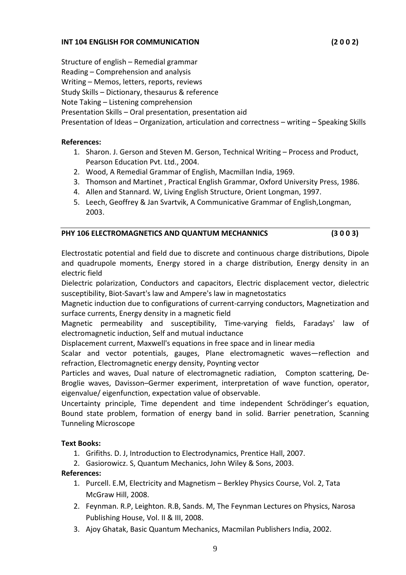Structure of english – Remedial grammar Reading – Comprehension and analysis Writing – Memos, letters, reports, reviews Study Skills – Dictionary, thesaurus & reference Note Taking – Listening comprehension Presentation Skills – Oral presentation, presentation aid Presentation of Ideas – Organization, articulation and correctness – writing – Speaking Skills

# **References:**

- 1. Sharon. J. Gerson and Steven M. Gerson, Technical Writing Process and Product, Pearson Education Pvt. Ltd., 2004.
- 2. Wood, A Remedial Grammar of English, Macmillan India, 1969.
- 3. Thomson and Martinet , Practical English Grammar, Oxford University Press, 1986.
- 4. Allen and Stannard. W, Living English Structure, Orient Longman, 1997.
- 5. Leech, Geoffrey & Jan Svartvik, A Communicative Grammar of English,Longman, 2003.

# **PHY 106 ELECTROMAGNETICS AND QUANTUM MECHANNICS (3 0 0 3)**

Electrostatic potential and field due to discrete and continuous charge distributions, Dipole and quadrupole moments, Energy stored in a charge distribution, Energy density in an electric field

Dielectric polarization, Conductors and capacitors, Electric displacement vector, dielectric susceptibility, Biot‐Savart's law and Ampere's law in magnetostatics

Magnetic induction due to configurations of current‐carrying conductors, Magnetization and surface currents, Energy density in a magnetic field

Magnetic permeability and susceptibility, Time‐varying fields, Faradays' law of electromagnetic induction, Self and mutual inductance

Displacement current, Maxwell's equations in free space and in linear media

Scalar and vector potentials, gauges, Plane electromagnetic waves—reflection and refraction, Electromagnetic energy density, Poynting vector

Particles and waves, Dual nature of electromagnetic radiation, Compton scattering, De‐ Broglie waves, Davisson–Germer experiment, interpretation of wave function, operator, eigenvalue/ eigenfunction, expectation value of observable.

Uncertainty principle, Time dependent and time independent Schrödinger's equation, Bound state problem, formation of energy band in solid. Barrier penetration, Scanning Tunneling Microscope

# **Text Books:**

- 1. Grifiths. D. J, Introduction to Electrodynamics, Prentice Hall, 2007.
- 2. Gasiorowicz. S, Quantum Mechanics, John Wiley & Sons, 2003.

# **References:**

- 1. Purcell. E.M, Electricity and Magnetism Berkley Physics Course, Vol. 2, Tata McGraw Hill, 2008.
- 2. Feynman. R.P, Leighton. R.B, Sands. M, The Feynman Lectures on Physics, Narosa Publishing House, Vol. II & III, 2008.

9

3. Ajoy Ghatak, Basic Quantum Mechanics, Macmilan Publishers India, 2002.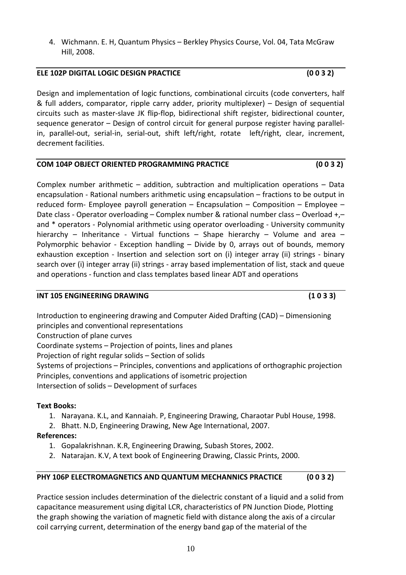4. Wichmann. E. H, Quantum Physics – Berkley Physics Course, Vol. 04, Tata McGraw Hill, 2008.

# **ELE 102P DIGITAL LOGIC DESIGN PRACTICE (0 0 3 2)**

Design and implementation of logic functions, combinational circuits (code converters, half & full adders, comparator, ripple carry adder, priority multiplexer) – Design of sequential circuits such as master‐slave JK flip‐flop, bidirectional shift register, bidirectional counter, sequence generator – Design of control circuit for general purpose register having parallel‐ in, parallel-out, serial-in, serial-out, shift left/right, rotate left/right, clear, increment, decrement facilities.

# **COM 104P OBJECT ORIENTED PROGRAMMING PRACTICE (0 0 3 2)**

Complex number arithmetic – addition, subtraction and multiplication operations – Data encapsulation ‐ Rational numbers arithmetic using encapsulation – fractions to be output in reduced form‐ Employee payroll generation – Encapsulation – Composition – Employee – Date class - Operator overloading – Complex number & rational number class – Overload +,– and \* operators - Polynomial arithmetic using operator overloading - University community hierarchy – Inheritance - Virtual functions – Shape hierarchy – Volume and area – Polymorphic behavior - Exception handling – Divide by 0, arrays out of bounds, memory exhaustion exception - Insertion and selection sort on (i) integer array (ii) strings - binary search over (i) integer array (ii) strings - array based implementation of list, stack and queue and operations ‐ function and class templates based linear ADT and operations

# **INT 105 ENGINEERING DRAWING (1 0 3 3)**

Introduction to engineering drawing and Computer Aided Drafting (CAD) – Dimensioning principles and conventional representations 

Construction of plane curves 

Coordinate systems – Projection of points, lines and planes

Projection of right regular solids – Section of solids

Systems of projections – Principles, conventions and applications of orthographic projection Principles, conventions and applications of isometric projection

Intersection of solids – Development of surfaces

# **Text Books:**

1. Narayana. K.L, and Kannaiah. P, Engineering Drawing, Charaotar Publ House, 1998.

2. Bhatt. N.D, Engineering Drawing, New Age International, 2007.

- **References:**
	- 1. Gopalakrishnan. K.R, Engineering Drawing, Subash Stores, 2002.
	- 2. Natarajan. K.V, A text book of Engineering Drawing, Classic Prints, 2000.

# **PHY 106P ELECTROMAGNETICS AND QUANTUM MECHANNICS PRACTICE (0 0 3 2)**

Practice session includes determination of the dielectric constant of a liquid and a solid from capacitance measurement using digital LCR, characteristics of PN Junction Diode, Plotting the graph showing the variation of magnetic field with distance along the axis of a circular coil carrying current, determination of the energy band gap of the material of the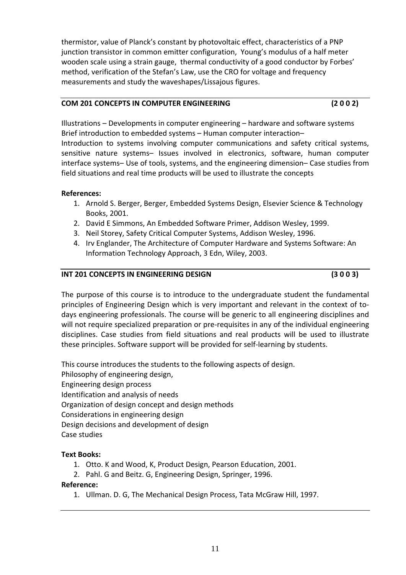thermistor, value of Planck's constant by photovoltaic effect, characteristics of a PNP junction transistor in common emitter configuration, Young's modulus of a half meter wooden scale using a strain gauge, thermal conductivity of a good conductor by Forbes' method, verification of the Stefan's Law, use the CRO for voltage and frequency measurements and study the waveshapes/Lissajous figures.

#### **COM 201 CONCEPTS IN COMPUTER ENGINEERING (2 0 0 2)**

Illustrations – Developments in computer engineering – hardware and software systems Brief introduction to embedded systems – Human computer interaction– Introduction to systems involving computer communications and safety critical systems, sensitive nature systems– Issues involved in electronics, software, human computer interface systems– Use of tools, systems, and the engineering dimension– Case studies from field situations and real time products will be used to illustrate the concepts

# **References:**

- 1. Arnold S. Berger, Berger, Embedded Systems Design, Elsevier Science & Technology Books, 2001.
- 2. David E Simmons, An Embedded Software Primer, Addison Wesley, 1999.
- 3. Neil Storey, Safety Critical Computer Systems, Addison Wesley, 1996.
- 4. Irv Englander, The Architecture of Computer Hardware and Systems Software: An Information Technology Approach, 3 Edn, Wiley, 2003.

# **INT 201 CONCEPTS IN ENGINEERING DESIGN (3 0 0 3)**

The purpose of this course is to introduce to the undergraduate student the fundamental principles of Engineering Design which is very important and relevant in the context of to‐ days engineering professionals. The course will be generic to all engineering disciplines and will not require specialized preparation or pre-requisites in any of the individual engineering disciplines. Case studies from field situations and real products will be used to illustrate these principles. Software support will be provided for self‐learning by students.

This course introduces the students to the following aspects of design. Philosophy of engineering design, Engineering design process Identification and analysis of needs Organization of design concept and design methods Considerations in engineering design Design decisions and development of design Case studies

# **Text Books:**

- 1. Otto. K and Wood, K, Product Design, Pearson Education, 2001.
- 2. Pahl. G and Beitz. G, Engineering Design, Springer, 1996.

# **Reference:**

1. Ullman. D. G, The Mechanical Design Process, Tata McGraw Hill, 1997.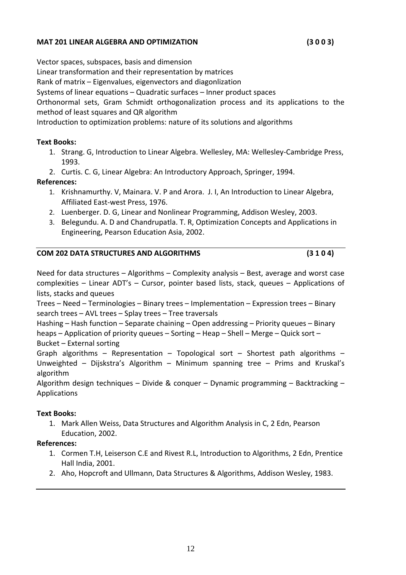#### **MAT 201 LINEAR ALGEBRA AND OPTIMIZATION (3 0 0 3)**

Vector spaces, subspaces, basis and dimension Linear transformation and their representation by matrices Rank of matrix – Eigenvalues, eigenvectors and diagonlization Systems of linear equations – Quadratic surfaces – Inner product spaces Orthonormal sets, Gram Schmidt orthogonalization process and its applications to the method of least squares and QR algorithm Introduction to optimization problems: nature of its solutions and algorithms

#### **Text Books:**

- 1. Strang. G, Introduction to Linear Algebra. Wellesley, MA: Wellesley‐Cambridge Press, 1993.
- 2. Curtis. C. G, Linear Algebra: An Introductory Approach, Springer, 1994.

#### **References:**

- 1. Krishnamurthy. V, Mainara. V. P and Arora. J. I, An Introduction to Linear Algebra, Affiliated East‐west Press, 1976.
- 2. Luenberger. D. G, Linear and Nonlinear Programming, Addison Wesley, 2003.
- 3. Belegundu. A. D and Chandrupatla. T. R, Optimization Concepts and Applications in Engineering, Pearson Education Asia, 2002.

#### **COM 202 DATA STRUCTURES AND ALGORITHMS (3 1 0 4)**

Need for data structures – Algorithms – Complexity analysis – Best, average and worst case complexities – Linear ADT's – Cursor, pointer based lists, stack, queues – Applications of lists, stacks and queues

Trees – Need – Terminologies – Binary trees – Implementation – Expression trees – Binary search trees – AVL trees – Splay trees – Tree traversals

Hashing – Hash function – Separate chaining – Open addressing – Priority queues – Binary heaps – Application of priority queues – Sorting – Heap – Shell – Merge – Quick sort – Bucket – External sorting

Graph algorithms – Representation – Topological sort – Shortest path algorithms – Unweighted – Dijskstra's Algorithm – Minimum spanning tree – Prims and Kruskal's algorithm

Algorithm design techniques – Divide & conquer – Dynamic programming – Backtracking – Applications

#### **Text Books:**

1. Mark Allen Weiss, Data Structures and Algorithm Analysis in C, 2 Edn, Pearson Education, 2002.

- 1. Cormen T.H, Leiserson C.E and Rivest R.L, Introduction to Algorithms, 2 Edn, Prentice Hall India, 2001.
- 2. Aho, Hopcroft and Ullmann, Data Structures & Algorithms, Addison Wesley, 1983.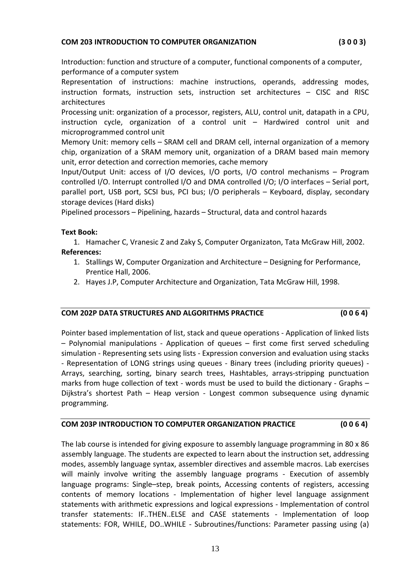#### **COM 203 INTRODUCTION TO COMPUTER ORGANIZATION (3 0 0 3)**

Introduction: function and structure of a computer, functional components of a computer, performance of a computer system

Representation of instructions: machine instructions, operands, addressing modes, instruction formats, instruction sets, instruction set architectures – CISC and RISC architectures

Processing unit: organization of a processor, registers, ALU, control unit, datapath in a CPU, instruction cycle, organization of a control unit – Hardwired control unit and microprogrammed control unit

Memory Unit: memory cells – SRAM cell and DRAM cell, internal organization of a memory chip, organization of a SRAM memory unit, organization of a DRAM based main memory unit, error detection and correction memories, cache memory

Input/Output Unit: access of I/O devices, I/O ports, I/O control mechanisms – Program controlled I/O. Interrupt controlled I/O and DMA controlled I/O; I/O interfaces – Serial port, parallel port, USB port, SCSI bus, PCI bus; I/O peripherals – Keyboard, display, secondary storage devices (Hard disks)

Pipelined processors – Pipelining, hazards – Structural, data and control hazards

#### **Text Book:**

1. Hamacher C, Vranesic Z and Zaky S, Computer Organizaton, Tata McGraw Hill, 2002. **References:**

- 1. Stallings W, Computer Organization and Architecture Designing for Performance, Prentice Hall, 2006.
- 2. Hayes J.P, Computer Architecture and Organization, Tata McGraw Hill, 1998.

#### **COM 202P DATA STRUCTURES AND ALGORITHMS PRACTICE (0 0 6 4)**

Pointer based implementation of list, stack and queue operations ‐ Application of linked lists – Polynomial manipulations ‐ Application of queues – first come first served scheduling simulation ‐ Representing sets using lists ‐ Expression conversion and evaluation using stacks ‐ Representation of LONG strings using queues ‐ Binary trees (including priority queues) ‐ Arrays, searching, sorting, binary search trees, Hashtables, arrays‐stripping punctuation marks from huge collection of text - words must be used to build the dictionary - Graphs – Dijkstra's shortest Path – Heap version - Longest common subsequence using dynamic programming.

# **COM 203P INTRODUCTION TO COMPUTER ORGANIZATION PRACTICE (0 0 6 4)**

The lab course is intended for giving exposure to assembly language programming in 80 x 86 assembly language. The students are expected to learn about the instruction set, addressing modes, assembly language syntax, assembler directives and assemble macros. Lab exercises will mainly involve writing the assembly language programs - Execution of assembly language programs: Single–step, break points, Accessing contents of registers, accessing contents of memory locations - Implementation of higher level language assignment statements with arithmetic expressions and logical expressions ‐ Implementation of control transfer statements: IF..THEN..ELSE and CASE statements ‐ Implementation of loop statements: FOR, WHILE, DO. WHILE - Subroutines/functions: Parameter passing using (a)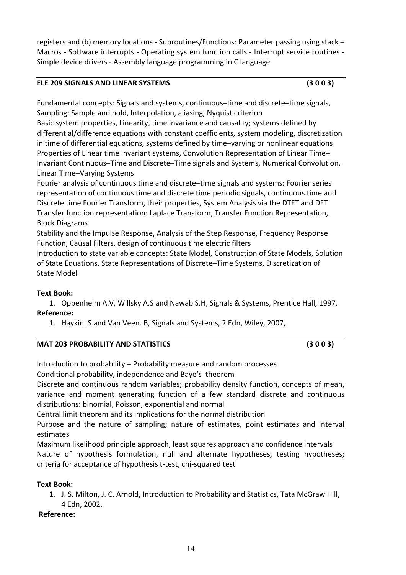registers and (b) memory locations ‐ Subroutines/Functions: Parameter passing using stack – Macros - Software interrupts - Operating system function calls - Interrupt service routines -Simple device drivers ‐ Assembly language programming in C language

# **ELE 209 SIGNALS AND LINEAR SYSTEMS (3 0 0 3)**

Fundamental concepts: Signals and systems, continuous–time and discrete–time signals, Sampling: Sample and hold, Interpolation, aliasing, Nyquist criterion

Basic system properties, Linearity, time invariance and causality; systems defined by differential/difference equations with constant coefficients, system modeling, discretization in time of differential equations, systems defined by time–varying or nonlinear equations Properties of Linear time invariant systems, Convolution Representation of Linear Time– Invariant Continuous–Time and Discrete–Time signals and Systems, Numerical Convolution, Linear Time–Varying Systems

Fourier analysis of continuous time and discrete–time signals and systems: Fourier series representation of continuous time and discrete time periodic signals, continuous time and Discrete time Fourier Transform, their properties, System Analysis via the DTFT and DFT Transfer function representation: Laplace Transform, Transfer Function Representation, Block Diagrams

Stability and the Impulse Response, Analysis of the Step Response, Frequency Response Function, Causal Filters, design of continuous time electric filters

Introduction to state variable concepts: State Model, Construction of State Models, Solution of State Equations, State Representations of Discrete–Time Systems, Discretization of State Model

# **Text Book:**

1. Oppenheim A.V, Willsky A.S and Nawab S.H, Signals & Systems, Prentice Hall, 1997. **Reference:**

1. Haykin. S and Van Veen. B, Signals and Systems, 2 Edn, Wiley, 2007,

| <b>MAT 203 PROBABILITY AND STATISTICS</b> | (3003) |
|-------------------------------------------|--------|
|                                           |        |

Introduction to probability – Probability measure and random processes

Conditional probability, independence and Baye's theorem

Discrete and continuous random variables; probability density function, concepts of mean, variance and moment generating function of a few standard discrete and continuous distributions: binomial, Poisson, exponential and normal

Central limit theorem and its implications for the normal distribution

Purpose and the nature of sampling; nature of estimates, point estimates and interval estimates

Maximum likelihood principle approach, least squares approach and confidence intervals Nature of hypothesis formulation, null and alternate hypotheses, testing hypotheses; criteria for acceptance of hypothesis t‐test, chi‐squared test

# **Text Book:**

1. J. S. Milton, J. C. Arnold, Introduction to Probability and Statistics, Tata McGraw Hill, 4 Edn, 2002.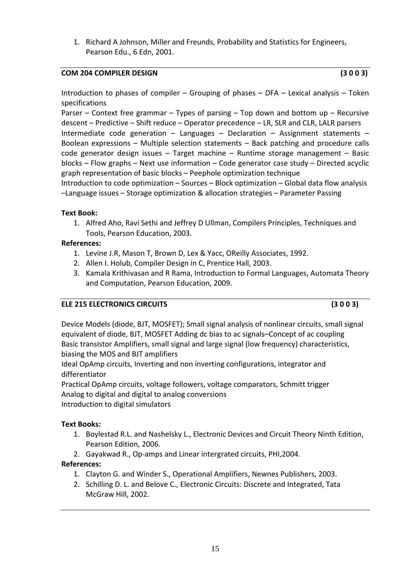1. Richard A Johnson, Miller and Freunds, Probability and Statistics for Engineers, Pearson Edu., 6 Edn, 2001.

#### **COM 204 COMPILER DESIGN (3 0 0 3)**

Introduction to phases of compiler – Grouping of phases – DFA – Lexical analysis – Token specifications

Parser – Context free grammar – Types of parsing – Top down and bottom up – Recursive descent – Predictive – Shift reduce – Operator precedence – LR, SLR and CLR, LALR parsers Intermediate code generation – Languages – Declaration – Assignment statements – Boolean expressions – Multiple selection statements – Back patching and procedure calls code generator design issues – Target machine – Runtime storage management – Basic blocks – Flow graphs – Next use information – Code generator case study – Directed acyclic graph representation of basic blocks – Peephole optimization technique Introduction to code optimization – Sources – Block optimization – Global data flow analysis –Language issues – Storage optimization & allocation strategies – Parameter Passing

# **Text Book:**

1. Alfred Aho, Ravi Sethi and Jeffrey D Ullman, Compilers Principles, Techniques and Tools, Pearson Education, 2003.

#### **References:**

- 1. Levine J.R, Mason T, Brown D, Lex & Yacc, OReilly Associates, 1992.
- 2. Allen I. Holub, Compiler Design in C, Prentice Hall, 2003.
- 3. Kamala Krithivasan and R Rama, Introduction to Formal Languages, Automata Theory and Computation, Pearson Education, 2009.

# **ELE 215 ELECTRONICS CIRCUITS (3 0 0 3)**

Device Models (diode, BJT, MOSFET); Small signal analysis of nonlinear circuits, small signal equivalent of diode, BJT, MOSFET Adding dc bias to ac signals–Concept of ac coupling Basic transistor Amplifiers, small signal and large signal (low frequency) characteristics, biasing the MOS and BJT amplifiers

Ideal OpAmp circuits, Inverting and non inverting configurations, integrator and differentiator

Practical OpAmp circuits, voltage followers, voltage comparators, Schmitt trigger Analog to digital and digital to analog conversions Introduction to digital simulators

# **Text Books:**

- 1. Boylestad R.L. and Nashelsky L., Electronic Devices and Circuit Theory Ninth Edition, Pearson Edition, 2006.
- 2. Gayakwad R., Op‐amps and Linear intergrated circuits, PHI,2004.

- 1. Clayton G. and Winder S., Operational Amplifiers, Newnes Publishers, 2003.
- 2. Schilling D. L. and Belove C., Electronic Circuits: Discrete and Integrated, Tata McGraw Hill, 2002.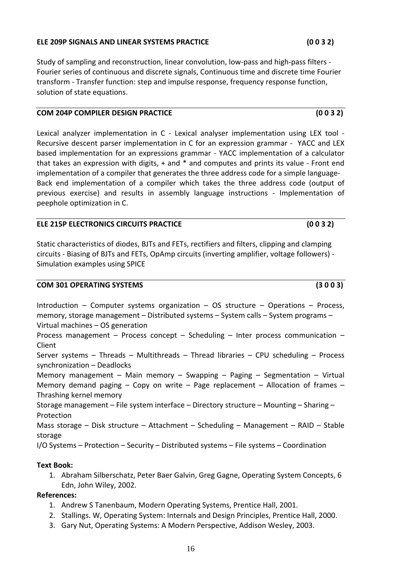# 16

#### **ELE 209P SIGNALS AND LINEAR SYSTEMS PRACTICE (0 0 3 2)**

Study of sampling and reconstruction, linear convolution, low‐pass and high‐pass filters ‐ Fourier series of continuous and discrete signals, Continuous time and discrete time Fourier transform ‐ Transfer function: step and impulse response, frequency response function, solution of state equations.

#### **COM 204P COMPILER DESIGN PRACTICE (0 0 3 2)**

Lexical analyzer implementation in C - Lexical analyser implementation using LEX tool -Recursive descent parser implementation in C for an expression grammar - YACC and LEX based implementation for an expressions grammar ‐ YACC implementation of a calculator that takes an expression with digits, + and \* and computes and prints its value - Front end implementation of a compiler that generates the three address code for a simple language-Back end implementation of a compiler which takes the three address code (output of previous exercise) and results in assembly language instructions ‐ Implementation of peephole optimization in C.

#### **ELE 215P ELECTRONICS CIRCUITS PRACTICE (0 0 3 2)**

Static characteristics of diodes, BJTs and FETs, rectifiers and filters, clipping and clamping circuits ‐ Biasing of BJTs and FETs, OpAmp circuits (inverting amplifier, voltage followers) ‐ Simulation examples using SPICE

#### **COM 301 OPERATING SYSTEMS (3 0 0 3)**

Introduction – Computer systems organization – OS structure – Operations – Process, memory, storage management – Distributed systems – System calls – System programs – Virtual machines – OS generation

Process management – Process concept – Scheduling – Inter process communication – Client

Server systems – Threads – Multithreads – Thread libraries – CPU scheduling – Process synchronization – Deadlocks

Memory management – Main memory – Swapping – Paging – Segmentation – Virtual Memory demand paging – Copy on write – Page replacement – Allocation of frames – Thrashing kernel memory

Storage management – File system interface – Directory structure – Mounting – Sharing – Protection

Mass storage – Disk structure – Attachment – Scheduling – Management – RAID – Stable storage

I/O Systems – Protection – Security – Distributed systems – File systems – Coordination

# **Text Book:**

1. Abraham Silberschatz, Peter Baer Galvin, Greg Gagne, Operating System Concepts, 6 Edn, John Wiley, 2002.

- 1. Andrew S Tanenbaum, Modern Operating Systems, Prentice Hall, 2001.
- 2. Stallings. W, Operating System: Internals and Design Principles, Prentice Hall, 2000.
- 3. Gary Nut, Operating Systems: A Modern Perspective, Addison Wesley, 2003.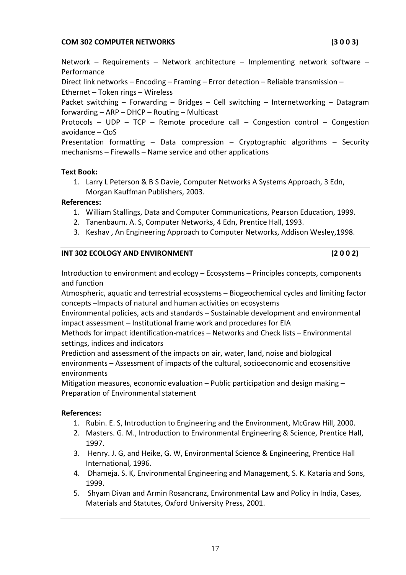#### **COM 302 COMPUTER NETWORKS (3 0 0 3)**

Network – Requirements – Network architecture – Implementing network software – Performance

Direct link networks – Encoding – Framing – Error detection – Reliable transmission – Ethernet – Token rings – Wireless

Packet switching – Forwarding – Bridges – Cell switching – Internetworking – Datagram forwarding – ARP – DHCP – Routing – Multicast

Protocols – UDP – TCP – Remote procedure call – Congestion control – Congestion avoidance – QoS

Presentation formatting – Data compression – Cryptographic algorithms – Security mechanisms – Firewalls – Name service and other applications

#### **Text Book:**

1. Larry L Peterson & B S Davie, Computer Networks A Systems Approach, 3 Edn, Morgan Kauffman Publishers, 2003.

#### **References:**

- 1. William Stallings, Data and Computer Communications, Pearson Education, 1999.
- 2. Tanenbaum. A. S, Computer Networks, 4 Edn, Prentice Hall, 1993.
- 3. Keshav , An Engineering Approach to Computer Networks, Addison Wesley,1998.

#### **INT 302 ECOLOGY AND ENVIRONMENT (2 0 0 2)**

Introduction to environment and ecology – Ecosystems – Principles concepts, components and function

Atmospheric, aquatic and terrestrial ecosystems – Biogeochemical cycles and limiting factor concepts –Impacts of natural and human activities on ecosystems

Environmental policies, acts and standards – Sustainable development and environmental impact assessment – Institutional frame work and procedures for EIA

Methods for impact identification‐matrices – Networks and Check lists – Environmental settings, indices and indicators

Prediction and assessment of the impacts on air, water, land, noise and biological environments – Assessment of impacts of the cultural, socioeconomic and ecosensitive environments

Mitigation measures, economic evaluation – Public participation and design making – Preparation of Environmental statement

- 1. Rubin. E. S, Introduction to Engineering and the Environment, McGraw Hill, 2000.
- 2. Masters. G. M., Introduction to Environmental Engineering & Science, Prentice Hall, 1997.
- 3. Henry. J. G, and Heike, G. W, Environmental Science & Engineering, Prentice Hall International, 1996.
- 4. Dhameja. S. K, Environmental Engineering and Management, S. K. Kataria and Sons, 1999.
- 5. Shyam Divan and Armin Rosancranz, Environmental Law and Policy in India, Cases, Materials and Statutes, Oxford University Press, 2001.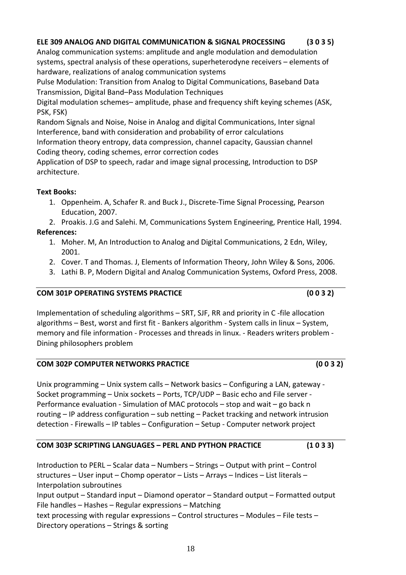# **ELE 309 ANALOG AND DIGITAL COMMUNICATION & SIGNAL PROCESSING (3 0 3 5)**

Analog communication systems: amplitude and angle modulation and demodulation systems, spectral analysis of these operations, superheterodyne receivers – elements of hardware, realizations of analog communication systems

Pulse Modulation: Transition from Analog to Digital Communications, Baseband Data Transmission, Digital Band–Pass Modulation Techniques

Digital modulation schemes– amplitude, phase and frequency shift keying schemes (ASK, PSK, FSK)

Random Signals and Noise, Noise in Analog and digital Communications, Inter signal Interference, band with consideration and probability of error calculations

Information theory entropy, data compression, channel capacity, Gaussian channel Coding theory, coding schemes, error correction codes

Application of DSP to speech, radar and image signal processing, Introduction to DSP architecture.

# **Text Books:**

1. Oppenheim. A, Schafer R. and Buck J., Discrete‐Time Signal Processing, Pearson Education, 2007.

2. Proakis. J.G and Salehi. M, Communications System Engineering, Prentice Hall, 1994. **References:**

- 1. Moher. M, An Introduction to Analog and Digital Communications, 2 Edn, Wiley, 2001.
- 2. Cover. T and Thomas. J, Elements of Information Theory, John Wiley & Sons, 2006.
- 3. Lathi B. P, Modern Digital and Analog Communication Systems, Oxford Press, 2008.

# **COM 301P OPERATING SYSTEMS PRACTICE (0 0 3 2)**

Implementation of scheduling algorithms – SRT, SJF, RR and priority in C ‐file allocation algorithms – Best, worst and first fit ‐ Bankers algorithm ‐ System calls in linux – System, memory and file information ‐ Processes and threads in linux. ‐ Readers writers problem ‐ Dining philosophers problem

# **COM 302P COMPUTER NETWORKS PRACTICE (0 0 3 2)**

Unix programming – Unix system calls – Network basics – Configuring a LAN, gateway ‐ Socket programming – Unix sockets – Ports, TCP/UDP – Basic echo and File server ‐ Performance evaluation ‐ Simulation of MAC protocols – stop and wait – go back n routing – IP address configuration – sub netting – Packet tracking and network intrusion detection ‐ Firewalls – IP tables – Configuration – Setup ‐ Computer network project

# **COM 303P SCRIPTING LANGUAGES – PERL AND PYTHON PRACTICE (1 0 3 3)**

Introduction to PERL – Scalar data – Numbers – Strings – Output with print – Control structures – User input – Chomp operator – Lists – Arrays – Indices – List literals – Interpolation subroutines Input output – Standard input – Diamond operator – Standard output – Formatted output File handles – Hashes – Regular expressions – Matching text processing with regular expressions – Control structures – Modules – File tests – Directory operations – Strings & sorting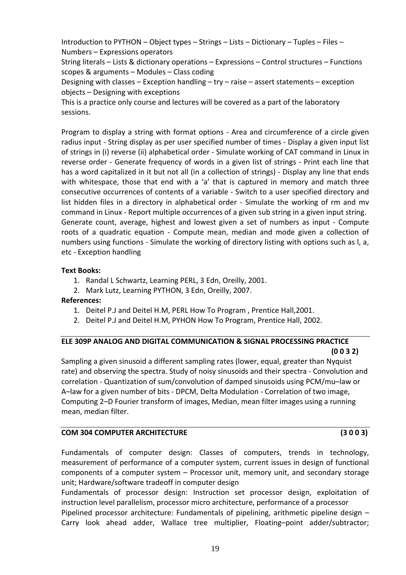Introduction to PYTHON – Object types – Strings – Lists – Dictionary – Tuples – Files – Numbers – Expressions operators

String literals – Lists & dictionary operations – Expressions – Control structures – Functions scopes & arguments – Modules – Class coding

Designing with classes – Exception handling – try – raise – assert statements – exception objects – Designing with exceptions

This is a practice only course and lectures will be covered as a part of the laboratory sessions.

Program to display a string with format options - Area and circumference of a circle given radius input ‐ String display as per user specified number of times ‐ Display a given input list of strings in (i) reverse (ii) alphabetical order ‐ Simulate working of CAT command in Linux in reverse order - Generate frequency of words in a given list of strings - Print each line that has a word capitalized in it but not all (in a collection of strings) - Display any line that ends with whitespace, those that end with a 'a' that is captured in memory and match three consecutive occurrences of contents of a variable ‐ Switch to a user specified directory and list hidden files in a directory in alphabetical order - Simulate the working of rm and mv command in Linux ‐ Report multiple occurrences of a given sub string in a given input string. Generate count, average, highest and lowest given a set of numbers as input ‐ Compute roots of a quadratic equation - Compute mean, median and mode given a collection of numbers using functions ‐ Simulate the working of directory listing with options such as l, a, etc ‐ Exception handling

# **Text Books:**

- 1. Randal L Schwartz, Learning PERL, 3 Edn, Oreilly, 2001.
- 2. Mark Lutz, Learning PYTHON, 3 Edn, Oreilly, 2007.

# **References:**

- 1. Deitel P.J and Deitel H.M, PERL How To Program , Prentice Hall,2001.
- 2. Deitel P.J and Deitel H.M, PYHON How To Program, Prentice Hall, 2002.

# **ELE 309P ANALOG AND DIGITAL COMMUNICATION & SIGNAL PROCESSING PRACTICE (0 0 3 2)**

Sampling a given sinusoid a different sampling rates (lower, equal, greater than Nyquist rate) and observing the spectra. Study of noisy sinusoids and their spectra ‐ Convolution and correlation ‐ Quantization of sum/convolution of damped sinusoids using PCM/mu–law or A–law for a given number of bits ‐ DPCM, Delta Modulation ‐ Correlation of two image, Computing 2–D Fourier transform of images, Median, mean filter images using a running mean, median filter.

# **COM 304 COMPUTER ARCHITECTURE (3 0 0 3)**

Fundamentals of computer design: Classes of computers, trends in technology, measurement of performance of a computer system, current issues in design of functional components of a computer system – Processor unit, memory unit, and secondary storage unit; Hardware/software tradeoff in computer design

Fundamentals of processor design: Instruction set processor design, exploitation of instruction level parallelism, processor micro architecture, performance of a processor

Pipelined processor architecture: Fundamentals of pipelining, arithmetic pipeline design – Carry look ahead adder, Wallace tree multiplier, Floating–point adder/subtractor;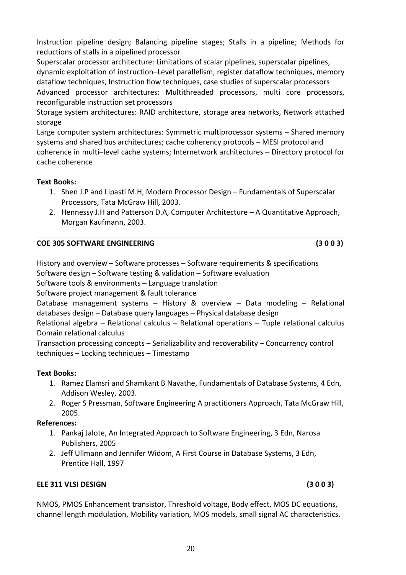Instruction pipeline design; Balancing pipeline stages; Stalls in a pipeline; Methods for reductions of stalls in a pipelined processor

Superscalar processor architecture: Limitations of scalar pipelines, superscalar pipelines, dynamic exploitation of instruction–Level parallelism, register dataflow techniques, memory dataflow techniques, Instruction flow techniques, case studies of superscalar processors

Advanced processor architectures: Multithreaded processors, multi core processors, reconfigurable instruction set processors

Storage system architectures: RAID architecture, storage area networks, Network attached storage

Large computer system architectures: Symmetric multiprocessor systems – Shared memory systems and shared bus architectures; cache coherency protocols – MESI protocol and coherence in multi–level cache systems; Internetwork architectures – Directory protocol for cache coherence

# **Text Books:**

- 1. Shen J.P and Lipasti M.H, Modern Processor Design Fundamentals of Superscalar Processors, Tata McGraw Hill, 2003.
- 2. Hennessy J.H and Patterson D.A, Computer Architecture A Quantitative Approach, Morgan Kaufmann, 2003.

# **COE 305 SOFTWARE ENGINEERING (3 0 0 3)**

History and overview – Software processes – Software requirements & specifications Software design – Software testing & validation – Software evaluation Software tools & environments – Language translation Software project management & fault tolerance Database management systems – History & overview – Data modeling – Relational databases design – Database query languages – Physical database design Relational algebra – Relational calculus – Relational operations – Tuple relational calculus Domain relational calculus Transaction processing concepts – Serializability and recoverability – Concurrency control techniques – Locking techniques – Timestamp

# **Text Books:**

- 1. Ramez Elamsri and Shamkant B Navathe, Fundamentals of Database Systems, 4 Edn, Addison Wesley, 2003.
- 2. Roger S Pressman, Software Engineering A practitioners Approach, Tata McGraw Hill, 2005.

# **References:**

- 1. Pankaj Jalote, An Integrated Approach to Software Engineering, 3 Edn, Narosa Publishers, 2005
- 2. Jeff Ullmann and Jennifer Widom, A First Course in Database Systems, 3 Edn, Prentice Hall, 1997

# **ELE 311 VLSI DESIGN (3 0 0 3)**

NMOS, PMOS Enhancement transistor, Threshold voltage, Body effect, MOS DC equations, channel length modulation, Mobility variation, MOS models, small signal AC characteristics.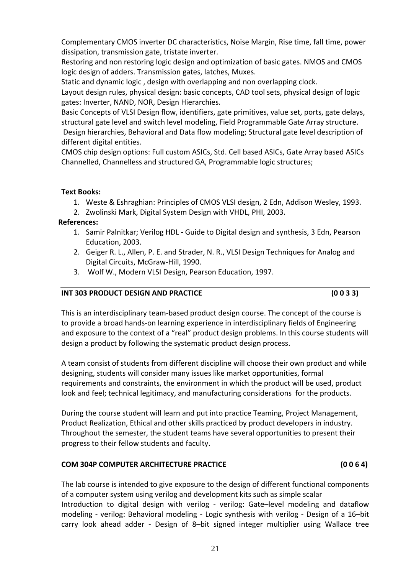Complementary CMOS inverter DC characteristics, Noise Margin, Rise time, fall time, power dissipation, transmission gate, tristate inverter.

Restoring and non restoring logic design and optimization of basic gates. NMOS and CMOS logic design of adders. Transmission gates, latches, Muxes.

Static and dynamic logic , design with overlapping and non overlapping clock.

Layout design rules, physical design: basic concepts, CAD tool sets, physical design of logic gates: Inverter, NAND, NOR, Design Hierarchies.

Basic Concepts of VLSI Design flow, identifiers, gate primitives, value set, ports, gate delays, structural gate level and switch level modeling, Field Programmable Gate Array structure.

Design hierarchies, Behavioral and Data flow modeling; Structural gate level description of different digital entities.

CMOS chip design options: Full custom ASICs, Std. Cell based ASICs, Gate Array based ASICs Channelled, Channelless and structured GA, Programmable logic structures;

# **Text Books:**

- 1. Weste & Eshraghian: Principles of CMOS VLSI design, 2 Edn, Addison Wesley, 1993.
- 2. Zwolinski Mark, Digital System Design with VHDL, PHI, 2003.

# **References:**

- 1. Samir Palnitkar; Verilog HDL ‐ Guide to Digital design and synthesis, 3 Edn, Pearson Education, 2003.
- 2. Geiger R. L., Allen, P. E. and Strader, N. R., VLSI Design Techniques for Analog and Digital Circuits, McGraw‐Hill, 1990.
- 3. Wolf W., Modern VLSI Design, Pearson Education, 1997.

# **INT 303 PRODUCT DESIGN AND PRACTICE (0 0 3 3)**

This is an interdisciplinary team‐based product design course. The concept of the course is to provide a broad hands‐on learning experience in interdisciplinary fields of Engineering and exposure to the context of a "real" product design problems. In this course students will design a product by following the systematic product design process.

A team consist of students from different discipline will choose their own product and while designing, students will consider many issues like market opportunities, formal requirements and constraints, the environment in which the product will be used, product look and feel; technical legitimacy, and manufacturing considerations for the products.

During the course student will learn and put into practice Teaming, Project Management, Product Realization, Ethical and other skills practiced by product developers in industry. Throughout the semester, the student teams have several opportunities to present their progress to their fellow students and faculty.

# **COM 304P COMPUTER ARCHITECTURE PRACTICE (0 0 6 4)**

The lab course is intended to give exposure to the design of different functional components of a computer system using verilog and development kits such as simple scalar Introduction to digital design with verilog - verilog: Gate-level modeling and dataflow modeling - verilog: Behavioral modeling - Logic synthesis with verilog - Design of a 16-bit carry look ahead adder - Design of 8-bit signed integer multiplier using Wallace tree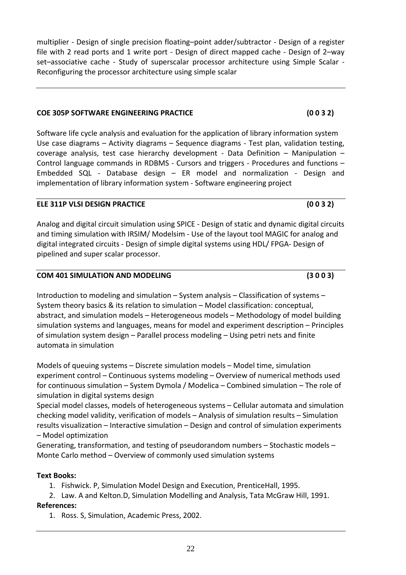multiplier ‐ Design of single precision floating–point adder/subtractor ‐ Design of a register file with 2 read ports and 1 write port - Design of direct mapped cache - Design of 2-way set–associative cache - Study of superscalar processor architecture using Simple Scalar -Reconfiguring the processor architecture using simple scalar

#### **COE 305P SOFTWARE ENGINEERING PRACTICE (0 0 3 2)**

Software life cycle analysis and evaluation for the application of library information system Use case diagrams – Activity diagrams – Sequence diagrams ‐ Test plan, validation testing, coverage analysis, test case hierarchy development - Data Definition - Manipulation -Control language commands in RDBMS ‐ Cursors and triggers ‐ Procedures and functions – Embedded SQL ‐ Database design – ER model and normalization ‐ Design and implementation of library information system ‐ Software engineering project

# **ELE 311P VLSI DESIGN PRACTICE (0 0 3 2)**

Analog and digital circuit simulation using SPICE ‐ Design of static and dynamic digital circuits and timing simulation with IRSIM/ Modelsim ‐ Use of the layout tool MAGIC for analog and digital integrated circuits ‐ Design of simple digital systems using HDL/ FPGA‐ Design of pipelined and super scalar processor.

# **COM 401 SIMULATION AND MODELING (3 0 0 3)**

Introduction to modeling and simulation – System analysis – Classification of systems – System theory basics & its relation to simulation – Model classification: conceptual, abstract, and simulation models – Heterogeneous models – Methodology of model building simulation systems and languages, means for model and experiment description – Principles of simulation system design – Parallel process modeling – Using petri nets and finite automata in simulation

Models of queuing systems – Discrete simulation models – Model time, simulation experiment control – Continuous systems modeling – Overview of numerical methods used for continuous simulation – System Dymola / Modelica – Combined simulation – The role of simulation in digital systems design

Special model classes, models of heterogeneous systems – Cellular automata and simulation checking model validity, verification of models – Analysis of simulation results – Simulation results visualization – Interactive simulation – Design and control of simulation experiments – Model optimization

Generating, transformation, and testing of pseudorandom numbers – Stochastic models – Monte Carlo method – Overview of commonly used simulation systems

# **Text Books:**

- 1. Fishwick. P, Simulation Model Design and Execution, PrenticeHall, 1995.
- 2. Law. A and Kelton.D, Simulation Modelling and Analysis, Tata McGraw Hill, 1991. **References:**

1. Ross. S, Simulation, Academic Press, 2002.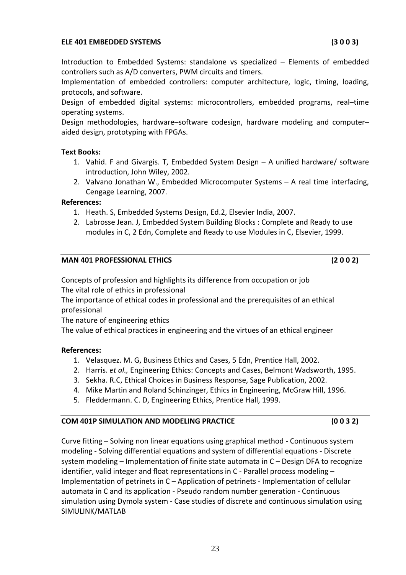#### **ELE 401 EMBEDDED SYSTEMS (3 0 0 3)**

Introduction to Embedded Systems: standalone vs specialized – Elements of embedded controllers such as A/D converters, PWM circuits and timers.

Implementation of embedded controllers: computer architecture, logic, timing, loading, protocols, and software.

Design of embedded digital systems: microcontrollers, embedded programs, real–time operating systems.

Design methodologies, hardware–software codesign, hardware modeling and computer– aided design, prototyping with FPGAs.

#### **Text Books:**

- 1. Vahid. F and Givargis. T, Embedded System Design A unified hardware/ software introduction, John Wiley, 2002.
- 2. Valvano Jonathan W., Embedded Microcomputer Systems A real time interfacing, Cengage Learning, 2007.

#### **References:**

- 1. Heath. S, Embedded Systems Design, Ed.2, Elsevier India, 2007.
- 2. Labrosse Jean. J, Embedded System Building Blocks : Complete and Ready to use modules in C, 2 Edn, Complete and Ready to use Modules in C, Elsevier, 1999.

#### **MAN 401 PROFESSIONAL ETHICS (2 0 0 2)**

Concepts of profession and highlights its difference from occupation or job The vital role of ethics in professional

The importance of ethical codes in professional and the prerequisites of an ethical professional

The nature of engineering ethics

The value of ethical practices in engineering and the virtues of an ethical engineer

#### **References:**

- 1. Velasquez. M. G, Business Ethics and Cases, 5 Edn, Prentice Hall, 2002.
- 2. Harris. *et al.,* Engineering Ethics: Concepts and Cases, Belmont Wadsworth, 1995.
- 3. Sekha. R.C, Ethical Choices in Business Response, Sage Publication, 2002.
- 4. Mike Martin and Roland Schinzinger, Ethics in Engineering, McGraw Hill, 1996.
- 5. Fleddermann. C. D, Engineering Ethics, Prentice Hall, 1999.

# **COM 401P SIMULATION AND MODELING PRACTICE (0 0 3 2)**

Curve fitting – Solving non linear equations using graphical method ‐ Continuous system modeling ‐ Solving differential equations and system of differential equations ‐ Discrete system modeling – Implementation of finite state automata in C – Design DFA to recognize identifier, valid integer and float representations in C - Parallel process modeling -Implementation of petrinets in C – Application of petrinets ‐ Implementation of cellular automata in C and its application ‐ Pseudo random number generation ‐ Continuous simulation using Dymola system ‐ Case studies of discrete and continuous simulation using SIMULINK/MATLAB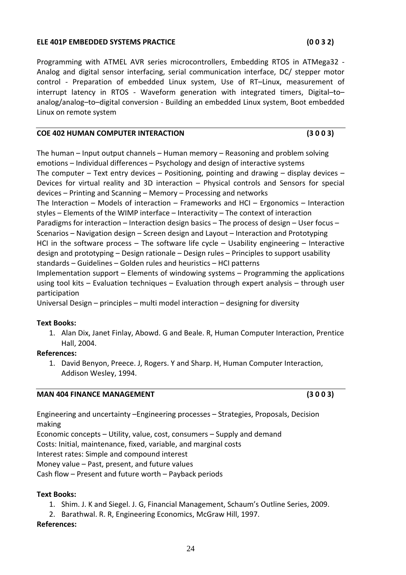#### **ELE 401P EMBEDDED SYSTEMS PRACTICE (0 0 3 2)**

Economic concepts – Utility, value, cost, consumers – Supply and demand

Engineering and uncertainty –Engineering processes – Strategies, Proposals, Decision

Costs: Initial, maintenance, fixed, variable, and marginal costs

Interest rates: Simple and compound interest

Money value – Past, present, and future values

Cash flow – Present and future worth – Payback periods

# **Text Books:**

1. Shim. J. K and Siegel. J. G, Financial Management, Schaum's Outline Series, 2009.

2. Barathwal. R. R, Engineering Economics, McGraw Hill, 1997.

# **References:**

Programming with ATMEL AVR series microcontrollers, Embedding RTOS in ATMega32 ‐ Analog and digital sensor interfacing, serial communication interface, DC/ stepper motor control - Preparation of embedded Linux system, Use of RT-Linux, measurement of interrupt latency in RTOS - Waveform generation with integrated timers, Digital-toanalog/analog–to–digital conversion ‐ Building an embedded Linux system, Boot embedded Linux on remote system

#### **COE 402 HUMAN COMPUTER INTERACTION (3 0 0 3)**

The human – Input output channels – Human memory – Reasoning and problem solving emotions – Individual differences – Psychology and design of interactive systems The computer – Text entry devices – Positioning, pointing and drawing – display devices – Devices for virtual reality and 3D interaction – Physical controls and Sensors for special devices – Printing and Scanning – Memory – Processing and networks The Interaction – Models of interaction – Frameworks and HCI – Ergonomics – Interaction styles – Elements of the WIMP interface – Interactivity – The context of interaction Paradigms for interaction – Interaction design basics – The process of design – User focus – Scenarios – Navigation design – Screen design and Layout – Interaction and Prototyping HCI in the software process  $-$  The software life cycle  $-$  Usability engineering  $-$  Interactive design and prototyping – Design rationale – Design rules – Principles to support usability standards – Guidelines – Golden rules and heuristics – HCI patterns Implementation support – Elements of windowing systems – Programming the applications using tool kits – Evaluation techniques – Evaluation through expert analysis – through user participation

Universal Design – principles – multi model interaction – designing for diversity

# **Text Books:**

1. Alan Dix, Janet Finlay, Abowd. G and Beale. R, Human Computer Interaction, Prentice Hall, 2004.

# **References:**

making

1. David Benyon, Preece. J, Rogers. Y and Sharp. H, Human Computer Interaction, Addison Wesley, 1994.

# **MAN 404 FINANCE MANAGEMENT (3 0 0 3)**